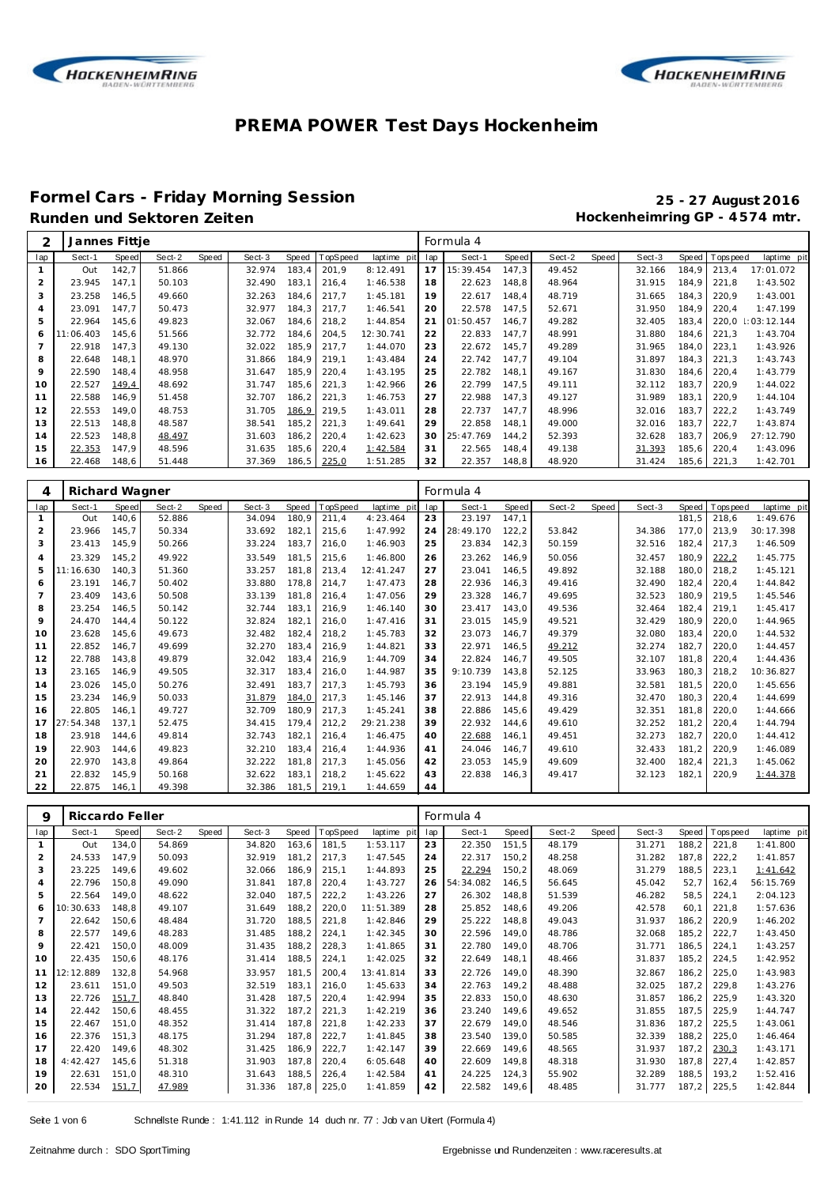



## **Formel Cars - Friday Morning Session 25 - 27 August 2016**

### Hockenheimring GP - 4574 mtr.

| ↷              | Jannes Fittje |              |        |       |        |       |          |             |     | Formula 4 |       |        |       |        |       |           |              |
|----------------|---------------|--------------|--------|-------|--------|-------|----------|-------------|-----|-----------|-------|--------|-------|--------|-------|-----------|--------------|
| lap            | Sect-1        | <b>Speed</b> | Sect-2 | Speed | Sect-3 | Speed | TopSpeed | laptime pit | lap | Sect-1    | Speed | Sect-2 | Speed | Sect-3 | Speed | Tops peed | laptime pit  |
|                | Out           | 142,7        | 51.866 |       | 32.974 | 183,4 | 201.9    | 8:12.491    | 17  | 15:39.454 | 147,3 | 49.452 |       | 32.166 | 184,9 | 213.4     | 17:01.072    |
| 2              | 23.945        | 147.1        | 50.103 |       | 32.490 | 183,1 | 216.4    | 1:46.538    | 18  | 22.623    | 148.8 | 48.964 |       | 31.915 | 184.9 | 221.8     | 1:43.502     |
| 3              | 23.258        | 146,5        | 49.660 |       | 32.263 | 184,6 | 217,7    | 1:45.181    | 19  | 22.617    | 148,4 | 48.719 |       | 31.665 | 184.3 | 220,9     | 1:43.001     |
| $\overline{4}$ | 23.091        | 147,7        | 50.473 |       | 32.977 | 184,3 | 217,7    | 1:46.541    | 20  | 22.578    | 147,5 | 52.671 |       | 31.950 | 184.9 | 220,4     | 1:47.199     |
| 5              | 22.964        | 145.6        | 49.823 |       | 32.067 | 184.6 | 218.2    | 1:44.854    | 21  | 01:50.457 | 146.7 | 49.282 |       | 32.405 | 183.4 | 220.0     | : 03: 12.144 |
| 6              | 11:06.403     | 145.6        | 51.566 |       | 32.772 | 184,6 | 204,5    | 12:30.741   | 22  | 22.833    | 147,7 | 48.991 |       | 31.880 | 184.6 | 221.3     | 1:43.704     |
|                | 22.918        | 147,3        | 49.130 |       | 32.022 | 185,9 | 217,7    | 1:44.070    | 23  | 22.672    | 145,7 | 49.289 |       | 31.965 | 184.0 | 223,1     | 1:43.926     |
| 8              | 22.648        | 148,1        | 48.970 |       | 31.866 | 184,9 | 219,1    | 1:43.484    | 24  | 22.742    | 147,7 | 49.104 |       | 31.897 | 184,3 | 221,3     | 1:43.743     |
| 9              | 22.590        | 148,4        | 48.958 |       | 31.647 | 185,9 | 220,4    | 1:43.195    | 25  | 22.782    | 148.1 | 49.167 |       | 31.830 | 184.6 | 220,4     | 1:43.779     |
| 10             | 22.527        | 149,4        | 48.692 |       | 31.747 | 185,6 | 221,3    | 1:42.966    | 26  | 22.799    | 147,5 | 49.111 |       | 32.112 | 183.7 | 220,9     | 1:44.022     |
| 11             | 22.588        | 146,9        | 51.458 |       | 32.707 | 186,2 | 221,3    | 1:46.753    | 27  | 22.988    | 147,3 | 49.127 |       | 31.989 | 183.1 | 220,9     | 1:44.104     |
| 12             | 22.553        | 149.0        | 48.753 |       | 31.705 | 186,9 | 219.5    | 1:43.011    | 28  | 22.737    | 147.7 | 48.996 |       | 32.016 | 183.7 | 222,2     | 1:43.749     |
| 13             | 22.513        | 148,8        | 48.587 |       | 38.541 | 185,2 | 221,3    | 1:49.641    | 29  | 22.858    | 148.1 | 49.000 |       | 32.016 | 183.7 | 222,7     | 1:43.874     |
| 14             | 22.523        | 148.8        | 48.497 |       | 31.603 | 186,2 | 220,4    | 1:42.623    | 30  | 25:47.769 | 144.2 | 52.393 |       | 32.628 | 183.7 | 206.9     | 27:12.790    |
| 15             | 22.353        | 147,9        | 48.596 |       | 31.635 | 185,6 | 220,4    | 1:42.584    | 31  | 22.565    | 148,4 | 49.138 |       | 31.393 | 185,6 | 220,4     | 1:43.096     |
| 16             | 22.468        | 148,6        | 51.448 |       | 37.369 | 186,5 | 225,0    | 1:51.285    | 32  | 22.357    | 148,8 | 48.920 |       | 31.424 | 185,6 | 221,3     | 1:42.701     |

| 4              | Richard Wagner |       |        |       |        |       |          |             |     | Formula 4 |       |        |       |        |       |            |             |
|----------------|----------------|-------|--------|-------|--------|-------|----------|-------------|-----|-----------|-------|--------|-------|--------|-------|------------|-------------|
| lap            | Sect-1         | Speed | Sect-2 | Speed | Sect-3 | Speed | TopSpeed | laptime pit | lap | Sect-1    | Speed | Sect-2 | Speed | Sect-3 | Speed | T ops peed | laptime pit |
|                | Out            | 140.6 | 52.886 |       | 34.094 | 180,9 | 211,4    | 4:23.464    | 23  | 23.197    | 147,1 |        |       |        | 181,5 | 218,6      | 1:49.676    |
| 2              | 23.966         | 145.7 | 50.334 |       | 33.692 | 182,1 | 215,6    | 1:47.992    | 24  | 28:49.170 | 122.2 | 53.842 |       | 34.386 | 177.0 | 213.9      | 30:17.398   |
| 3              | 23.413         | 145.9 | 50.266 |       | 33.224 | 183.7 | 216,0    | 1:46.903    | 25  | 23.834    | 142,3 | 50.159 |       | 32.516 | 182.4 | 217,3      | 1:46.509    |
| $\overline{4}$ | 23.329         | 145.2 | 49.922 |       | 33.549 | 181.5 | 215,6    | 1:46.800    | 26  | 23.262    | 146,9 | 50.056 |       | 32.457 | 180,9 | 222.2      | 1:45.775    |
| 5              | 11:16.630      | 140.3 | 51.360 |       | 33.257 | 181.8 | 213,4    | 12:41.247   | 27  | 23.041    | 146,5 | 49.892 |       | 32.188 | 180.0 | 218.2      | 1:45.121    |
| 6              | 23.191         | 146.7 | 50.402 |       | 33.880 | 178.8 | 214.7    | 1:47.473    | 28  | 22.936    | 146,3 | 49.416 |       | 32.490 | 182.4 | 220,4      | 1:44.842    |
| $\overline{7}$ | 23.409         | 143.6 | 50.508 |       | 33.139 | 181.8 | 216,4    | 1:47.056    | 29  | 23.328    | 146.7 | 49.695 |       | 32.523 | 180.9 | 219.5      | 1:45.546    |
| 8              | 23.254         | 146.5 | 50.142 |       | 32.744 | 183.1 | 216,9    | 1:46.140    | 30  | 23.417    | 143.0 | 49.536 |       | 32.464 | 182.4 | 219.1      | 1:45.417    |
| 9              | 24.470         | 144.4 | 50.122 |       | 32.824 | 182,1 | 216,0    | 1:47.416    | 31  | 23.015    | 145,9 | 49.521 |       | 32.429 | 180,9 | 220,0      | 1:44.965    |
| 10             | 23.628         | 145,6 | 49.673 |       | 32.482 | 182.4 | 218.2    | 1:45.783    | 32  | 23.073    | 146.7 | 49.379 |       | 32.080 | 183.4 | 220.0      | 1:44.532    |
| 11             | 22.852         | 146.7 | 49.699 |       | 32.270 | 183.4 | 216,9    | 1:44.821    | 33  | 22.971    | 146.5 | 49.212 |       | 32.274 | 182.7 | 220.0      | 1:44.457    |
| 12             | 22.788         | 143.8 | 49.879 |       | 32.042 | 183.4 | 216,9    | 1:44.709    | 34  | 22.824    | 146.7 | 49.505 |       | 32.107 | 181.8 | 220,4      | 1:44.436    |
| 13             | 23.165         | 146,9 | 49.505 |       | 32.317 | 183,4 | 216,0    | 1:44.987    | 35  | 9:10.739  | 143,8 | 52.125 |       | 33.963 | 180,3 | 218,2      | 10:36.827   |
| 14             | 23.026         | 145,0 | 50.276 |       | 32.491 | 183.7 | 217.3    | 1:45.793    | 36  | 23.194    | 145.9 | 49.881 |       | 32.581 | 181.5 | 220.0      | 1:45.656    |
| 15             | 23.234         | 146.9 | 50.033 |       | 31.879 | 184.0 | 217.3    | 1:45.146    | 37  | 22.913    | 144.8 | 49.316 |       | 32.470 | 180.3 | 220,4      | 1:44.699    |
| 16             | 22.805         | 146.1 | 49.727 |       | 32.709 | 180.9 | 217,3    | 1:45.241    | 38  | 22.886    | 145.6 | 49.429 |       | 32.351 | 181.8 | 220,0      | 1:44.666    |
| 17             | 27:54.348      | 137.1 | 52.475 |       | 34.415 | 179.4 | 212,2    | 29:21.238   | 39  | 22.932    | 144,6 | 49.610 |       | 32.252 | 181,2 | 220,4      | 1:44.794    |
| 18             | 23.918         | 144.6 | 49.814 |       | 32.743 | 182,1 | 216,4    | 1:46.475    | 40  | 22.688    | 146,1 | 49.451 |       | 32.273 | 182,7 | 220,0      | 1:44.412    |
| 19             | 22.903         | 144.6 | 49.823 |       | 32.210 | 183.4 | 216,4    | 1:44.936    | 41  | 24.046    | 146.7 | 49.610 |       | 32.433 | 181.2 | 220.9      | 1:46.089    |
| 20             | 22.970         | 143.8 | 49.864 |       | 32.222 | 181.8 | 217,3    | 1:45.056    | 42  | 23.053    | 145,9 | 49.609 |       | 32.400 | 182,4 | 221,3      | 1:45.062    |
| 21             | 22.832         | 145.9 | 50.168 |       | 32.622 | 183,1 | 218,2    | 1:45.622    | 43  | 22.838    | 146,3 | 49.417 |       | 32.123 | 182,1 | 220,9      | 1:44.378    |
| 22             | 22.875         | 146.1 | 49.398 |       | 32.386 | 181,5 | 219,1    | 1:44.659    | 44  |           |       |        |       |        |       |            |             |

| 9              |           | Riccardo Feller |        |       |        |       |          |             |     | Formula 4 |       |        |       |        |       |             |             |
|----------------|-----------|-----------------|--------|-------|--------|-------|----------|-------------|-----|-----------|-------|--------|-------|--------|-------|-------------|-------------|
| lap            | Sect-1    | Speed           | Sect-2 | Speed | Sect-3 | Speed | TopSpeed | laptime pit | lap | Sect-1    | Speed | Sect-2 | Speed | Sect-3 | Speed | T ops pee d | laptime pit |
| $\mathbf{1}$   | Out       | 134,0           | 54.869 |       | 34.820 | 163.6 | 181,5    | 1:53.117    | 23  | 22.350    | 151,5 | 48.179 |       | 31.271 | 188.2 | 221,8       | 1:41.800    |
| $\overline{2}$ | 24.533    | 147,9           | 50.093 |       | 32.919 | 181,2 | 217,3    | 1:47.545    | 24  | 22.317    | 150,2 | 48.258 |       | 31.282 | 187,8 | 222,2       | 1:41.857    |
| 3              | 23.225    | 149.6           | 49.602 |       | 32.066 | 186,9 | 215,1    | 1:44.893    | 25  | 22.294    | 150,2 | 48.069 |       | 31.279 | 188,5 | 223,1       | 1:41.642    |
| $\overline{4}$ | 22.796    | 150,8           | 49.090 |       | 31.841 | 187,8 | 220,4    | 1:43.727    | 26  | 54:34.082 | 146.5 | 56.645 |       | 45.042 | 52,7  | 162,4       | 56:15.769   |
| 5              | 22.564    | 149.0           | 48.622 |       | 32.040 | 187,5 | 222,2    | 1:43.226    | 27  | 26.302    | 148,8 | 51.539 |       | 46.282 | 58,5  | 224,1       | 2:04.123    |
| 6              | 10:30.633 | 148.8           | 49.107 |       | 31.649 | 188,2 | 220,0    | 11:51.389   | 28  | 25.852    | 148,6 | 49.206 |       | 42.578 | 60,1  | 221,8       | 1:57.636    |
| $\overline{7}$ | 22.642    | 150,6           | 48.484 |       | 31.720 | 188,5 | 221,8    | 1:42.846    | 29  | 25.222    | 148,8 | 49.043 |       | 31.937 | 186,2 | 220.9       | 1:46.202    |
| 8              | 22.577    | 149.6           | 48.283 |       | 31.485 | 188,2 | 224,1    | 1:42.345    | 30  | 22.596    | 149.0 | 48.786 |       | 32.068 | 185,2 | 222,7       | 1:43.450    |
| 9              | 22.421    | 150,0           | 48.009 |       | 31.435 | 188,2 | 228,3    | 1:41.865    | 31  | 22.780    | 149,0 | 48.706 |       | 31.771 | 186,5 | 224,1       | 1:43.257    |
| 10             | 22.435    | 150,6           | 48.176 |       | 31.414 | 188,5 | 224,1    | 1:42.025    | 32  | 22.649    | 148,1 | 48.466 |       | 31.837 | 185,2 | 224,5       | 1:42.952    |
| 11             | 12:12.889 | 132,8           | 54.968 |       | 33.957 | 181,5 | 200,4    | 13:41.814   | 33  | 22.726    | 149.0 | 48.390 |       | 32.867 | 186,2 | 225,0       | 1:43.983    |
| 12             | 23.611    | 151,0           | 49.503 |       | 32.519 | 183,1 | 216,0    | 1:45.633    | 34  | 22.763    | 149,2 | 48.488 |       | 32.025 | 187,2 | 229,8       | 1:43.276    |
| 13             | 22.726    | 151,7           | 48.840 |       | 31.428 | 187,5 | 220,4    | 1:42.994    | 35  | 22.833    | 150,0 | 48.630 |       | 31.857 | 186,2 | 225,9       | 1:43.320    |
| 14             | 22.442    | 150,6           | 48.455 |       | 31.322 | 187,2 | 221,3    | 1:42.219    | 36  | 23.240    | 149.6 | 49.652 |       | 31.855 | 187,5 | 225,9       | 1:44.747    |
| 15             | 22.467    | 151,0           | 48.352 |       | 31.414 | 187,8 | 221,8    | 1:42.233    | 37  | 22.679    | 149.0 | 48.546 |       | 31.836 | 187,2 | 225,5       | 1:43.061    |
| 16             | 22.376    | 151,3           | 48.175 |       | 31.294 | 187,8 | 222,7    | 1:41.845    | 38  | 23.540    | 139,0 | 50.585 |       | 32.339 | 188,2 | 225,0       | 1:46.464    |
| 17             | 22.420    | 149,6           | 48.302 |       | 31.425 | 186,9 | 222,7    | 1:42.147    | 39  | 22.669    | 149.6 | 48.565 |       | 31.937 | 187,2 | 230,3       | 1:43.171    |
| 18             | 4:42.427  | 145.6           | 51.318 |       | 31.903 | 187,8 | 220,4    | 6:05.648    | 40  | 22.609    | 149,8 | 48.318 |       | 31.930 | 187,8 | 227.4       | 1:42.857    |
| 19             | 22.631    | 151,0           | 48.310 |       | 31.643 | 188,5 | 226,4    | 1:42.584    | 41  | 24.225    | 124,3 | 55.902 |       | 32.289 | 188,5 | 193.2       | 1:52.416    |
| 20             | 22.534    | 151,7           | 47.989 |       | 31.336 | 187,8 | 225,0    | 1:41.859    | 42  | 22.582    | 149,6 | 48.485 |       | 31.777 | 187,2 | 225,5       | 1:42.844    |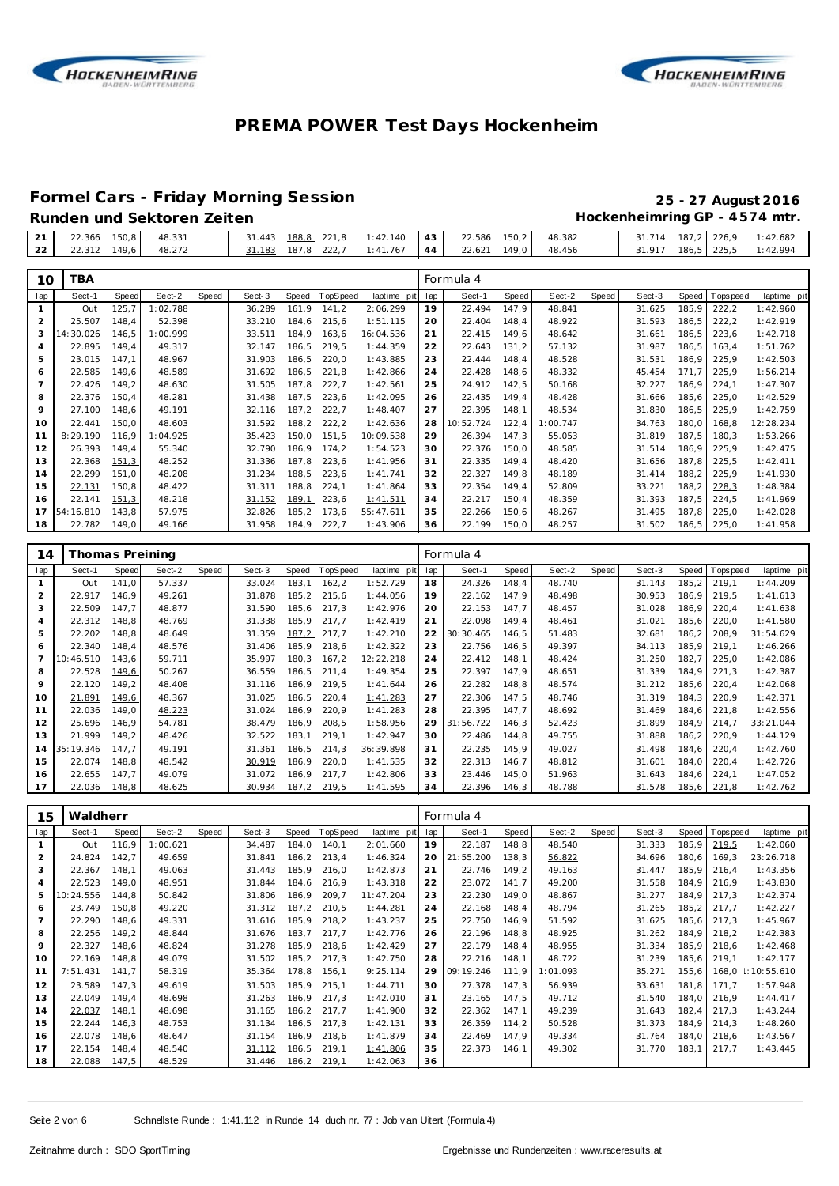



**Formel Cars - Friday Morning Session 25 - 27 August 2016 Runden und Sektoren Zeiten Hockenheimring GP - 4 574 mtr.**

|  | - Runden und Sektoren Zeiten |  |
|--|------------------------------|--|
|  |                              |  |

| $\sim$<br>$\sim$      | 149.6<br>48.272<br>22.312           | .767<br>187.8<br>222.<br>183<br>$1 \cdot 41$ | : 42.994<br>149.0<br>48.456<br>186.5<br>31.917<br>225.5<br>22.621<br>44     |  |
|-----------------------|-------------------------------------|----------------------------------------------|-----------------------------------------------------------------------------|--|
| $\bigcap$<br>$\sim$ 1 | 150.8<br>48.331<br>22.366<br>$\sim$ | 31.443<br>188,8 221,8<br>: 42.140            | 22.586<br>150.2<br>48.382<br>714<br>187.2<br>-226.9<br>: 42.682<br>31<br>43 |  |

| 10             | TBA       |       |          |       |        |       |          |             |     | Formula 4 |       |          |       |        |        |             |             |
|----------------|-----------|-------|----------|-------|--------|-------|----------|-------------|-----|-----------|-------|----------|-------|--------|--------|-------------|-------------|
| lap            | Sect-1    | Speed | Sect-2   | Speed | Sect-3 | Speed | TopSpeed | laptime pit | lap | Sect-1    | Speed | Sect-2   | Speed | Sect-3 | Speed  | T ops pee d | laptime pit |
|                | Out       | 125,7 | 1:02.788 |       | 36.289 | 161,9 | 141,2    | 2:06.299    | 19  | 22.494    | 147,9 | 48.841   |       | 31.625 | 185,9  | 222,2       | 1:42.960    |
| 2              | 25.507    | 148,4 | 52.398   |       | 33.210 | 184,6 | 215,6    | 1:51.115    | 20  | 22.404    | 148,4 | 48.922   |       | 31.593 | 186,5  | 222,2       | 1:42.919    |
| 3              | 14:30.026 | 146,5 | 1:00.999 |       | 33.511 | 184,9 | 163,6    | 16:04.536   | 21  | 22.415    | 149,6 | 48.642   |       | 31.661 | 186,5  | 223,6       | 1:42.718    |
| 4              | 22.895    | 149,4 | 49.317   |       | 32.147 | 186,5 | 219,5    | 1:44.359    | 22  | 22.643    | 131,2 | 57.132   |       | 31.987 | 186,5  | 163,4       | 1:51.762    |
| 5              | 23.015    | 147.1 | 48.967   |       | 31.903 | 186,5 | 220,0    | 1:43.885    | 23  | 22.444    | 148,4 | 48.528   |       | 31.531 | 186,9  | 225,9       | 1:42.503    |
| 6              | 22.585    | 149.6 | 48.589   |       | 31.692 | 186,5 | 221,8    | 1:42.866    | 24  | 22.428    | 148,6 | 48.332   |       | 45.454 | 171.7  | 225,9       | 1:56.214    |
| $\overline{7}$ | 22.426    | 149,2 | 48.630   |       | 31.505 | 187,8 | 222,7    | 1:42.561    | 25  | 24.912    | 142,5 | 50.168   |       | 32.227 | 186,9  | 224,1       | 1:47.307    |
| 8              | 22.376    | 150,4 | 48.281   |       | 31.438 | 187,5 | 223,6    | 1:42.095    | 26  | 22.435    | 149,4 | 48.428   |       | 31.666 | 185,6  | 225,0       | 1:42.529    |
| 9              | 27.100    | 148,6 | 49.191   |       | 32.116 | 187,2 | 222,7    | 1:48.407    | 27  | 22.395    | 148,1 | 48.534   |       | 31.830 | 186,5  | 225,9       | 1:42.759    |
| 10             | 22.441    | 150,0 | 48.603   |       | 31.592 | 188,2 | 222,2    | 1:42.636    | 28  | 10:52.724 | 122,4 | 1:00.747 |       | 34.763 | 180,0  | 168,8       | 12:28.234   |
| 11             | 8:29.190  | 116.9 | 1:04.925 |       | 35.423 | 150,0 | 151,5    | 10:09.538   | 29  | 26.394    | 147,3 | 55.053   |       | 31.819 | 187.5  | 180.3       | 1:53.266    |
| 12             | 26.393    | 149,4 | 55.340   |       | 32.790 | 186,9 | 174,2    | 1:54.523    | 30  | 22.376    | 150,0 | 48.585   |       | 31.514 | 186,9  | 225,9       | 1:42.475    |
| 13             | 22.368    | 151,3 | 48.252   |       | 31.336 | 187,8 | 223,6    | 1:41.956    | 31  | 22.335    | 149,4 | 48.420   |       | 31.656 | 187.8  | 225,5       | 1:42.411    |
| 14             | 22.299    | 151,0 | 48.208   |       | 31.234 | 188,5 | 223,6    | 1:41.741    | 32  | 22.327    | 149,8 | 48.189   |       | 31.414 | 188,2  | 225,9       | 1:41.930    |
| 15             | 22.131    | 150,8 | 48.422   |       | 31.311 | 188,8 | 224,1    | 1:41.864    | 33  | 22.354    | 149,4 | 52.809   |       | 33.221 | 188,2  | 228,3       | 1:48.384    |
| 16             | 22.141    | 151,3 | 48.218   |       | 31.152 | 189,1 | 223,6    | 1:41.511    | 34  | 22.217    | 150,4 | 48.359   |       | 31.393 | 187,5  | 224,5       | 1:41.969    |
| 17             | 54:16.810 | 143,8 | 57.975   |       | 32.826 | 185,2 | 173,6    | 55:47.611   | 35  | 22.266    | 150,6 | 48.267   |       | 31.495 | 187,8  | 225,0       | 1:42.028    |
| 18             | 22.782    | 149,0 | 49.166   |       | 31.958 | 184,9 | 222,7    | 1:43.906    | 36  | 22.199    | 150,0 | 48.257   |       | 31.502 | 186, 5 | 225,0       | 1:41.958    |
|                |           |       |          |       |        |       |          |             |     |           |       |          |       |        |        |             |             |

| 14             | Thomas Preining |       |        |       |        |       |          |             |     | Formula 4 |       |        |       |        |        |                   |             |
|----------------|-----------------|-------|--------|-------|--------|-------|----------|-------------|-----|-----------|-------|--------|-------|--------|--------|-------------------|-------------|
| lap            | Sect-1          | Speed | Sect-2 | Speed | Sect-3 | Speed | TopSpeed | laptime pit | lap | Sect-1    | Speed | Sect-2 | Speed | Sect-3 |        | Speed   Tops peed | laptime pit |
|                | Out             | 141.0 | 57.337 |       | 33.024 | 183,1 | 162,2    | 1:52.729    | 18  | 24.326    | 148.4 | 48.740 |       | 31.143 | 185,2  | 219.1             | 1:44.209    |
| $\overline{2}$ | 22.917          | 146.9 | 49.261 |       | 31.878 | 185,2 | 215,6    | 1:44.056    | 19  | 22.162    | 147.9 | 48.498 |       | 30.953 | 186.9  | 219.5             | 1:41.613    |
| 3              | 22.509          | 147.7 | 48.877 |       | 31.590 | 185,6 | 217,3    | 1:42.976    | 20  | 22.153    | 147.7 | 48.457 |       | 31.028 | 186.9  | 220,4             | 1:41.638    |
| 4              | 22.312          | 148.8 | 48.769 |       | 31.338 | 185,9 | 217.7    | 1:42.419    | 21  | 22.098    | 149.4 | 48.461 |       | 31.021 | 185.6  | 220,0             | 1:41.580    |
| 5              | 22.202          | 148,8 | 48.649 |       | 31.359 | 187,2 | 217,7    | 1:42.210    | 22  | 30:30.465 | 146,5 | 51.483 |       | 32.681 | 186, 2 | 208,9             | 31:54.629   |
| 6              | 22.340          | 148,4 | 48.576 |       | 31.406 | 185,9 | 218,6    | 1:42.322    | 23  | 22.756    | 146,5 | 49.397 |       | 34.113 | 185,9  | 219,1             | 1:46.266    |
|                | 10:46.510       | 143,6 | 59.711 |       | 35.997 | 180,3 | 167,2    | 12:22.218   | 24  | 22.412    | 148,1 | 48.424 |       | 31.250 | 182,7  | 225,0             | 1:42.086    |
| 8              | 22.528          | 149,6 | 50.267 |       | 36.559 | 186,5 | 211,4    | 1:49.354    | 25  | 22.397    | 147.9 | 48.651 |       | 31.339 | 184.9  | 221,3             | 1:42.387    |
| 9              | 22.120          | 149.2 | 48.408 |       | 31.116 | 186,9 | 219,5    | 1:41.644    | 26  | 22.282    | 148,8 | 48.574 |       | 31.212 | 185,6  | 220,4             | 1:42.068    |
| 10             | 21.891          | 149,6 | 48.367 |       | 31.025 | 186,5 | 220,4    | 1:41.283    | 27  | 22.306    | 147.5 | 48.746 |       | 31.319 | 184.3  | 220,9             | 1:42.371    |
| 11             | 22.036          | 149.0 | 48.223 |       | 31.024 | 186,9 | 220,9    | 1:41.283    | 28  | 22.395    | 147.7 | 48.692 |       | 31.469 | 184.6  | 221,8             | 1:42.556    |
| 12             | 25.696          | 146.9 | 54.781 |       | 38.479 | 186.9 | 208,5    | 1:58.956    | 29  | 31:56.722 | 146.3 | 52.423 |       | 31.899 | 184.9  | 214.7             | 33:21.044   |
| 13             | 21.999          | 149.2 | 48.426 |       | 32.522 | 183,1 | 219,1    | 1:42.947    | 30  | 22.486    | 144.8 | 49.755 |       | 31.888 | 186,2  | 220.9             | 1:44.129    |
| 14             | 35:19.346       | 147.7 | 49.191 |       | 31.361 | 186,5 | 214.3    | 36:39.898   | 31  | 22.235    | 145.9 | 49.027 |       | 31.498 | 184.6  | 220,4             | 1:42.760    |
| 15             | 22.074          | 148.8 | 48.542 |       | 30.919 | 186,9 | 220,0    | 1:41.535    | 32  | 22.313    | 146.7 | 48.812 |       | 31.601 | 184.0  | 220,4             | 1:42.726    |
| 16             | 22.655          | 147.7 | 49.079 |       | 31.072 | 186,9 | 217,7    | 1:42.806    | 33  | 23.446    | 145,0 | 51.963 |       | 31.643 | 184.6  | 224,1             | 1:47.052    |
| 17             | 22.036          | 148,8 | 48.625 |       | 30.934 | 187,2 | 219,5    | 1:41.595    | 34  | 22.396    | 146,3 | 48.788 |       | 31.578 |        | 185,6 221,8       | 1:42.762    |

| 15  | Waldherr  |       |          |       |        |       |          |             |     | Formula 4 |       |          |       |        |       |            |             |
|-----|-----------|-------|----------|-------|--------|-------|----------|-------------|-----|-----------|-------|----------|-------|--------|-------|------------|-------------|
| lap | Sect-1    | Speed | Sect-2   | Speed | Sect-3 | Speed | TopSpeed | laptime pit | lap | Sect-1    | Speed | Sect-2   | Speed | Sect-3 | Speed | T ops peed | laptime pit |
|     | Out       | 116,9 | 1:00.621 |       | 34.487 | 184.0 | 140,1    | 2:01.660    | 19  | 22.187    | 148,8 | 48.540   |       | 31.333 | 185,9 | 219,5      | 1:42.060    |
| 2   | 24.824    | 142,7 | 49.659   |       | 31.841 | 186,2 | 213,4    | 1:46.324    | 20  | 21:55.200 | 138,3 | 56.822   |       | 34.696 | 180,6 | 169,3      | 23:26.718   |
| 3   | 22.367    | 148.1 | 49.063   |       | 31.443 | 185,9 | 216,0    | 1:42.873    | 21  | 22.746    | 149,2 | 49.163   |       | 31.447 | 185,9 | 216,4      | 1:43.356    |
| 4   | 22.523    | 149,0 | 48.951   |       | 31.844 | 184,6 | 216,9    | 1:43.318    | 22  | 23.072    | 141,7 | 49.200   |       | 31.558 | 184.9 | 216,9      | 1:43.830    |
| 5   | 10:24.556 | 144.8 | 50.842   |       | 31.806 | 186,9 | 209,7    | 11:47.204   | 23  | 22.230    | 149,0 | 48.867   |       | 31.277 | 184.9 | 217,3      | 1:42.374    |
| 6   | 23.749    | 150,8 | 49.220   |       | 31.312 | 187,2 | 210,5    | 1:44.281    | 24  | 22.168    | 148,4 | 48.794   |       | 31.265 | 185,2 | 217,7      | 1:42.227    |
|     | 22.290    | 148,6 | 49.331   |       | 31.616 | 185,9 | 218,2    | 1:43.237    | 25  | 22.750    | 146,9 | 51.592   |       | 31.625 | 185,6 | 217,3      | 1:45.967    |
| 8   | 22.256    | 149,2 | 48.844   |       | 31.676 | 183,7 | 217,7    | 1:42.776    | 26  | 22.196    | 148,8 | 48.925   |       | 31.262 | 184,9 | 218,2      | 1:42.383    |
| 9   | 22.327    | 148,6 | 48.824   |       | 31.278 | 185,9 | 218,6    | 1:42.429    | 27  | 22.179    | 148,4 | 48.955   |       | 31.334 | 185,9 | 218,6      | 1:42.468    |
| 10  | 22.169    | 148.8 | 49.079   |       | 31.502 | 185,2 | 217,3    | 1:42.750    | 28  | 22.216    | 148.1 | 48.722   |       | 31.239 | 185,6 | 219,1      | 1:42.177    |
| 11  | 7:51.431  | 141.7 | 58.319   |       | 35.364 | 178,8 | 156,1    | 9:25.114    | 29  | 09:19.246 | 111.9 | 1:01.093 |       | 35.271 | 155,6 | 168,0      | 1:10:55.610 |
| 12  | 23.589    | 147,3 | 49.619   |       | 31.503 | 185,9 | 215,1    | 1:44.711    | 30  | 27.378    | 147,3 | 56.939   |       | 33.631 | 181,8 | 171,7      | 1:57.948    |
| 13  | 22.049    | 149.4 | 48.698   |       | 31.263 | 186.9 | 217,3    | 1:42.010    | 31  | 23.165    | 147,5 | 49.712   |       | 31.540 | 184.0 | 216.9      | 1:44.417    |
| 14  | 22.037    | 148,1 | 48.698   |       | 31.165 | 186,2 | 217,7    | 1:41.900    | 32  | 22.362    | 147,1 | 49.239   |       | 31.643 | 182.4 | 217.3      | 1:43.244    |
| 15  | 22.244    | 146,3 | 48.753   |       | 31.134 | 186,5 | 217,3    | 1:42.131    | 33  | 26.359    | 114,2 | 50.528   |       | 31.373 | 184.9 | 214,3      | 1:48.260    |
| 16  | 22.078    | 148.6 | 48.647   |       | 31.154 | 186,9 | 218,6    | 1:41.879    | 34  | 22.469    | 147,9 | 49.334   |       | 31.764 | 184.0 | 218,6      | 1:43.567    |
| 17  | 22.154    | 148.4 | 48.540   |       | 31.112 | 186,5 | 219,1    | 1:41.806    | 35  | 22.373    | 146,1 | 49.302   |       | 31.770 | 183.1 | 217,7      | 1:43.445    |
| 18  | 22.088    | 147,5 | 48.529   |       | 31.446 | 186,2 | 219,1    | 1:42.063    | 36  |           |       |          |       |        |       |            |             |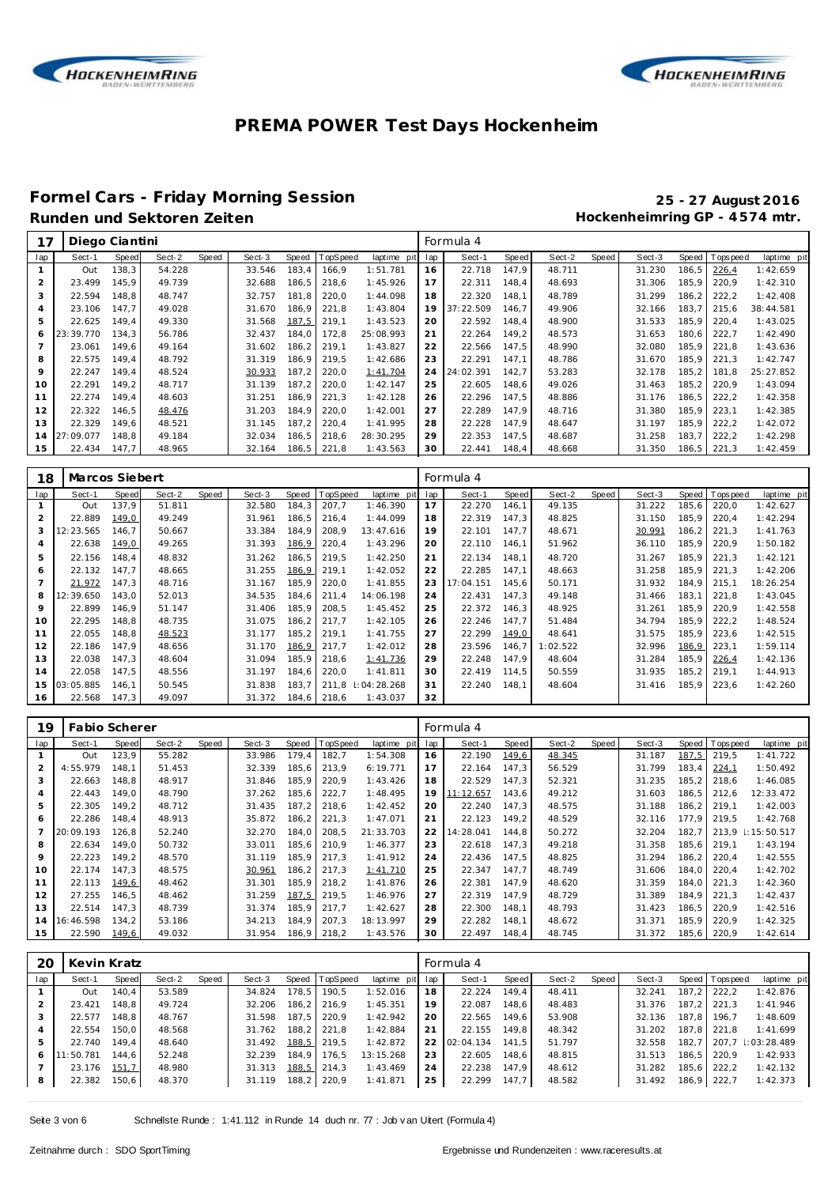



## **Formel Cars - Friday Morning Session 25 - 27 August 2016**

### Hockenheimring GP - 4574 mtr.

| 17             | Diego Ciantini |       |        |       |        |       |          |             |     | Formula 4 |       |        |       |        |       |            |             |
|----------------|----------------|-------|--------|-------|--------|-------|----------|-------------|-----|-----------|-------|--------|-------|--------|-------|------------|-------------|
| lap            | Sect-1         | Speed | Sect-2 | Speed | Sect-3 | Speed | TopSpeed | laptime pit | lap | Sect-1    | Speed | Sect-2 | Speed | Sect-3 | Speed | T ops peed | laptime pit |
|                | Out            | 138,3 | 54.228 |       | 33.546 | 183,4 | 166.9    | 1:51.781    | 16  | 22.718    | 147.9 | 48.711 |       | 31.230 | 186.5 | 226,4      | 1:42.659    |
| 2              | 23.499         | 145.9 | 49.739 |       | 32.688 | 186,5 | 218,6    | 1:45.926    | 17  | 22.311    | 148,4 | 48.693 |       | 31.306 | 185,9 | 220,9      | 1:42.310    |
| 3              | 22.594         | 148.8 | 48.747 |       | 32.757 | 181.8 | 220,0    | 1:44.098    | 18  | 22.320    | 148.1 | 48.789 |       | 31.299 | 186.2 | 222,2      | 1:42.408    |
| $\overline{a}$ | 23.106         | 147.7 | 49.028 |       | 31.670 | 186,9 | 221,8    | 1:43.804    | 19  | 37:22.509 | 146.7 | 49.906 |       | 32.166 | 183.7 | 215.6      | 38:44.581   |
| 5              | 22.625         | 149.4 | 49.330 |       | 31.568 | 187,5 | 219.1    | 1:43.523    | 20  | 22.592    | 148,4 | 48.900 |       | 31.533 | 185.9 | 220.4      | 1:43.025    |
| 6              | 23:39.770      | 134.3 | 56.786 |       | 32.437 | 184.0 | 172,8    | 25:08.993   | 21  | 22.264    | 149,2 | 48.573 |       | 31.653 | 180.6 | 222,7      | 1:42.490    |
|                | 23.061         | 149.6 | 49.164 |       | 31.602 | 186,2 | 219.1    | 1:43.827    | 22  | 22.566    | 147,5 | 48.990 |       | 32.080 | 185,9 | 221,8      | 1:43.636    |
| 8              | 22.575         | 149.4 | 48.792 |       | 31.319 | 186.9 | 219.5    | 1:42.686    | 23  | 22.291    | 147.1 | 48.786 |       | 31.670 | 185.9 | 221.3      | 1:42.747    |
| 9              | 22.247         | 149.4 | 48.524 |       | 30.933 | 187.2 | 220,0    | 1:41.704    | 24  | 24:02.391 | 142.7 | 53.283 |       | 32.178 | 185,2 | 181.8      | 25:27.852   |
| 10             | 22.291         | 149.2 | 48.717 |       | 31.139 | 187.2 | 220,0    | 1:42.147    | 25  | 22.605    | 148.6 | 49.026 |       | 31.463 | 185.2 | 220.9      | 1:43.094    |
| 11             | 22.274         | 149,4 | 48.603 |       | 31.251 | 186,9 | 221,3    | 1:42.128    | 26  | 22.296    | 147,5 | 48.886 |       | 31.176 | 186,5 | 222,2      | 1:42.358    |
| 12             | 22.322         | 146,5 | 48.476 |       | 31.203 | 184,9 | 220,0    | 1:42.001    | 27  | 22.289    | 147.9 | 48.716 |       | 31.380 | 185.9 | 223,1      | 1:42.385    |
| 13             | 22.329         | 149.6 | 48.521 |       | 31.145 | 187.2 | 220,4    | 1:41.995    | 28  | 22.228    | 147,9 | 48.647 |       | 31.197 | 185.9 | 222,2      | 1:42.072    |
| 14             | 27:09.077      | 148.8 | 49.184 |       | 32.034 | 186,5 | 218,6    | 28:30.295   | 29  | 22.353    | 147,5 | 48.687 |       | 31.258 | 183.7 | 222,2      | 1:42.298    |
| 15             | 22.434         | 147.7 | 48.965 |       | 32.164 | 186,5 | 221,8    | 1:43.563    | 30  | 22.441    | 148.4 | 48.668 |       | 31.350 | 186,5 | 221,3      | 1:42.459    |

| 18             | Marcos Siebert |       |        |       |        |       |             |             |     | Formula 4 |       |          |       |        |       |                 |             |
|----------------|----------------|-------|--------|-------|--------|-------|-------------|-------------|-----|-----------|-------|----------|-------|--------|-------|-----------------|-------------|
| lap            | Sect-1         | Speed | Sect-2 | Speed | Sect-3 | Speed | TopSpeed    | laptime pit | lap | Sect-1    | Speed | Sect-2   | Speed | Sect-3 |       | Speed Tops peed | laptime pit |
|                | Out            | 137.9 | 51.811 |       | 32.580 | 184,3 | 207.7       | 1:46.390    | 17  | 22.270    | 146.1 | 49.135   |       | 31.222 | 185,6 | 220,0           | 1:42.627    |
| 2              | 22.889         | 149,0 | 49.249 |       | 31.961 | 186,5 | 216,4       | 1:44.099    | 18  | 22.319    | 147,3 | 48.825   |       | 31.150 | 185.9 | 220,4           | 1:42.294    |
| 3              | 12:23.565      | 146.7 | 50.667 |       | 33.384 | 184,9 | 208,9       | 13:47.616   | 19  | 22.101    | 147.7 | 48.671   |       | 30.991 | 186.2 | 221,3           | 1:41.763    |
| $\overline{4}$ | 22.638         | 149,0 | 49.265 |       | 31.393 | 186,9 | 220,4       | 1:43.296    | 20  | 22.110    | 146,1 | 51.962   |       | 36.110 | 185,9 | 220,9           | 1:50.182    |
| 5              | 22.156         | 148.4 | 48.832 |       | 31.262 | 186,5 | 219,5       | 1:42.250    | 21  | 22.134    | 148.1 | 48.720   |       | 31.267 | 185.9 | 221.3           | 1:42.121    |
| 6              | 22.132         | 147.7 | 48.665 |       | 31.255 | 186,9 | 219,1       | 1:42.052    | 22  | 22.285    | 147,1 | 48.663   |       | 31.258 | 185,9 | 221,3           | 1:42.206    |
|                | 21.972         | 147,3 | 48.716 |       | 31.167 | 185,9 | 220,0       | 1:41.855    | 23  | 17:04.151 | 145,6 | 50.171   |       | 31.932 | 184.9 | 215,1           | 18:26.254   |
| 8              | 12:39.650      | 143,0 | 52.013 |       | 34.535 | 184,6 | 211,4       | 14:06.198   | 24  | 22.431    | 147,3 | 49.148   |       | 31.466 | 183.1 | 221.8           | 1:43.045    |
| 9              | 22.899         | 146.9 | 51.147 |       | 31.406 | 185,9 | 208.5       | 1:45.452    | 25  | 22.372    | 146,3 | 48.925   |       | 31.261 | 185.9 | 220.9           | 1:42.558    |
| 10             | 22.295         | 148.8 | 48.735 |       | 31.075 | 186,2 | 217.7       | 1:42.105    | 26  | 22.246    | 147.7 | 51.484   |       | 34.794 | 185,9 | 222,2           | 1:48.524    |
| 11             | 22.055         | 148.8 | 48.523 |       | 31.177 | 185,2 | 219.1       | 1:41.755    | 27  | 22.299    | 149,0 | 48.641   |       | 31.575 | 185.9 | 223.6           | 1:42.515    |
| 12             | 22.186         | 147.9 | 48.656 |       | 31.170 | 186,9 | 217,7       | 1:42.012    | 28  | 23.596    | 146,7 | 1:02.522 |       | 32.996 | 186,9 | 223,1           | 1:59.114    |
| 13             | 22.038         | 147,3 | 48.604 |       | 31.094 | 185,9 | 218,6       | 1:41.736    | 29  | 22.248    | 147.9 | 48.604   |       | 31.284 | 185,9 | 226,4           | 1:42.136    |
| 14             | 22.058         | 147,5 | 48.556 |       | 31.197 | 184.6 | 220,0       | 1:41.811    | 30  | 22.419    | 114,5 | 50.559   |       | 31.935 | 185.2 | 219.1           | 1:44.913    |
| 15             | 03:05.885      | 146.1 | 50.545 |       | 31.838 | 183,7 | 211.8       | :04:28.268  | 31  | 22.240    | 148.1 | 48.604   |       | 31.416 | 185.9 | 223,6           | 1:42.260    |
| 16             | 22.568         | 147,3 | 49.097 |       | 31.372 |       | 184,6 218,6 | 1:43.037    | 32  |           |       |          |       |        |       |                 |             |

| 19  | Fabio Scherer |       |        |       |        |       |                 |             |     | Formula 4 |       |        |       |        |       |          |                 |
|-----|---------------|-------|--------|-------|--------|-------|-----------------|-------------|-----|-----------|-------|--------|-------|--------|-------|----------|-----------------|
| lap | Sect-1        | Speed | Sect-2 | Speed | Sect-3 | Speed | <b>TopSpeed</b> | laptime pit | lap | Sect-1    | Speed | Sect-2 | Speed | Sect-3 | Speed | Topspeed | laptime pit     |
|     | Out           | 123.9 | 55.282 |       | 33.986 | 179,4 | 182,7           | 1:54.308    | 16  | 22.190    | 149,6 | 48.345 |       | 31.187 | 187.5 | 219.5    | 1:41.722        |
|     | 4:55.979      | 148.1 | 51.453 |       | 32.339 | 185.6 | 213.9           | 6:19.771    | 17  | 22.164    | 147.3 | 56.529 |       | 31.799 | 183.4 | 224,1    | 1:50.492        |
|     | 22.663        | 148.8 | 48.917 |       | 31.846 | 185,9 | 220,9           | 1:43.426    | 18  | 22.529    | 147.3 | 52.321 |       | 31.235 | 185.2 | 218.6    | 1:46.085        |
| 4   | 22.443        | 149.0 | 48.790 |       | 37.262 | 185,6 | 222,7           | 1:48.495    | 19  | 11:12.657 | 143.6 | 49.212 |       | 31.603 | 186.5 | 212.6    | 12:33.472       |
| 5   | 22.305        | 149.2 | 48.712 |       | 31.435 | 187.2 | 218,6           | 1:42.452    | 20  | 22.240    | 147.3 | 48.575 |       | 31.188 | 186,2 | 219.1    | 1:42.003        |
| 6   | 22.286        | 148.4 | 48.913 |       | 35.872 | 186,2 | 221,3           | 1:47.071    | 21  | 22.123    | 149.2 | 48.529 |       | 32.116 | 177.9 | 219.5    | 1:42.768        |
|     | 20:09.193     | 126.8 | 52.240 |       | 32.270 | 184.0 | 208,5           | 21:33.703   | 22  | 14:28.041 | 144.8 | 50.272 |       | 32.204 | 182.7 | 213.9    | $\pm 15:50.517$ |
| 8   | 22.634        | 149.0 | 50.732 |       | 33.011 | 185,6 | 210.9           | 1:46.377    | 23  | 22.618    | 147.3 | 49.218 |       | 31.358 | 185.6 | 219.1    | 1:43.194        |
| 9   | 22.223        | 149.2 | 48.570 |       | 31.119 | 185,9 | 217,3           | 1:41.912    | 24  | 22.436    | 147.5 | 48.825 |       | 31.294 | 186.2 | 220.4    | 1:42.555        |
| 10  | 22.174        | 147.3 | 48.575 |       | 30.961 | 186,2 | 217,3           | 1:41.710    | 25  | 22.347    | 147.7 | 48.749 |       | 31.606 | 184.0 | 220.4    | 1:42.702        |
| 11  | 22.113        | 149,6 | 48.462 |       | 31.301 | 185,9 | 218,2           | 1:41.876    | 26  | 22.381    | 147.9 | 48.620 |       | 31.359 | 184.0 | 221.3    | 1:42.360        |
| 12  | 27.255        | 146.5 | 48.462 |       | 31.259 | 187,5 | 219,5           | 1:46.976    | 27  | 22.319    | 147.9 | 48.729 |       | 31.389 | 184.9 | 221.3    | 1:42.437        |
| 13  | 22.514        | 147.3 | 48.739 |       | 31.374 | 185,9 | 217,7           | 1:42.627    | 28  | 22.300    | 148.1 | 48.793 |       | 31.423 | 186.5 | 220.9    | 1:42.516        |
| 14  | 16:46.598     | 134,2 | 53.186 |       | 34.213 | 184,9 | 207,3           | 18:13.997   | 29  | 22.282    | 148.1 | 48.672 |       | 31.371 | 185.9 | 220.9    | 1:42.325        |
| 15  | 22.590        | 149,6 | 49.032 |       | 31.954 | 186,9 | 218,2           | 1:43.576    | 30  | 22.497    | 148.4 | 48.745 |       | 31.372 | 185,6 | 220,9    | 1:42.614        |

| 2C  | Kevin Kratz |       |        |       |        |       |                |                 |    | Formula 4 |       |        |       |        |       |                |                 |
|-----|-------------|-------|--------|-------|--------|-------|----------------|-----------------|----|-----------|-------|--------|-------|--------|-------|----------------|-----------------|
| lap | Sect-1      | Speed | Sect-2 | Speed | Sect-3 |       | Speed TopSpeed | laptime pit lap |    | Sect-1    | Speed | Sect-2 | Speed | Sect-3 |       | Speed Topspeed | laptime pit     |
|     | Out         | 140.4 | 53.589 |       | 34.824 | 178.5 | 190.5          | 1:52.016        | 18 | 22.224    | 149.4 | 48.411 |       | 32.241 | 187.2 | 222.2          | 1:42.876        |
|     | 23.421      | 148.8 | 49.724 |       | 32.206 | 186.2 | 216.9          | 1:45.351        | 19 | 22.087    | 148.6 | 48.483 |       | 31.376 | 187.2 | 221.3          | 1:41.946        |
|     | 22.577      | 148.8 | 48.767 |       | 31.598 | 187.5 | 220.9          | 1:42.942        | 20 | 22.565    | 149.6 | 53.908 |       | 32.136 | 187.8 | 196.7          | 1:48.609        |
|     | 22.554      | 150.0 | 48.568 |       | 31.762 | 188.2 | 221.8          | 1:42.884        | 21 | 22.155    | 149.8 | 48.342 |       | 31.202 | 187.8 | 221.8          | 1:41.699        |
| 5   | 22.740      | 149.4 | 48.640 |       | 31.492 | 188,5 | 219.5          | 1:42.872        | 22 | 02:04.134 | 141.5 | 51.797 |       | 32.558 | 182.7 | 207.7          | $\pm 03:28.489$ |
| 6   | 11:50.781   | 144.6 | 52.248 |       | 32.239 | 184.9 | 176.5          | 13:15.268       | 23 | 22.605    | 148.6 | 48.815 |       | 31.513 | 186.5 | 220.9          | 1:42.933        |
|     | 23.176      | 151,7 | 48.980 |       | 31.313 | 188,5 | 214.3          | 1:43.469        | 24 | 22.238    | 147.9 | 48.612 |       | 31.282 | 185.6 | 222.2          | 1:42.132        |
| 8   | 22.382      | 150,6 | 48.370 |       | 31.119 | 188,2 | 220.9          | 1:41.871        | 25 | 22.299    | 147.7 | 48.582 |       | 31.492 | 186,9 | 222.7          | 1:42.373        |
|     |             |       |        |       |        |       |                |                 |    |           |       |        |       |        |       |                |                 |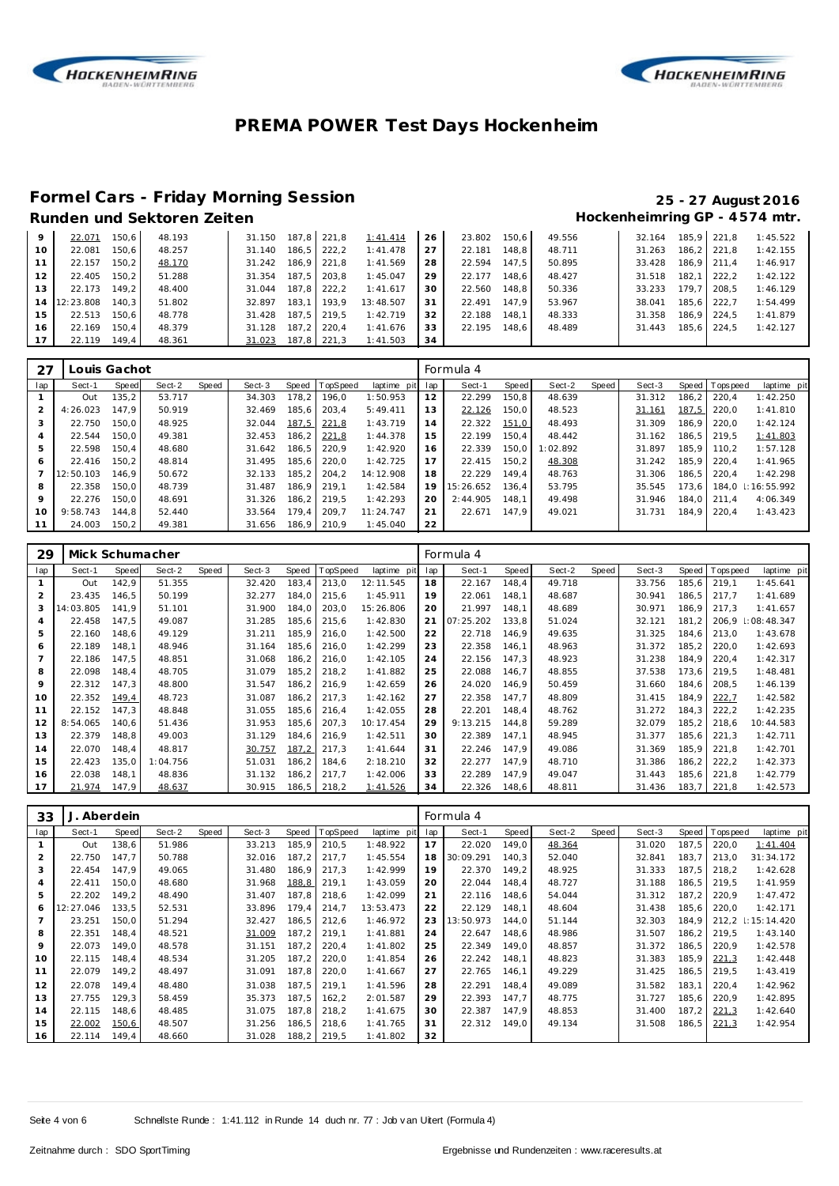



### **Formel Cars - Friday Morning Session 25 - 27 August 2016**

### Hockenheimring GP - 4574 mtr.

| 9   | 22.071    | 150.6 | 48.193 | 31.150 |       | 187.8 221.8 | 1:41.414  | 26 | 23.802 | 150.6 | 49.556 | 32.164 |                    | 185.9 221.8 | 1:45.522 |
|-----|-----------|-------|--------|--------|-------|-------------|-----------|----|--------|-------|--------|--------|--------------------|-------------|----------|
| 10  | 22.081    | 150.6 | 48.257 | 31.140 | 186.5 | 222.2       | 1:41.478  | 27 | 22.181 | 148.8 | 48.711 | 31.263 |                    | 186.2 221.8 | 1:42.155 |
|     | 22.157    | 150.2 | 48.170 | 31.242 |       | 186,9 221,8 | 1:41.569  | 28 | 22.594 | 147.5 | 50.895 | 33.428 |                    | 186.9 211.4 | 1:46.917 |
| 12  | 22.405    | 150.2 | 51.288 | 31.354 |       | 187.5 203.8 | 1:45.047  | 29 | 22.177 | 148.6 | 48.427 | 31.518 | 182.1              | 222.2       | 1:42.122 |
| 1.3 | 22.173    | 149.2 | 48.400 | 31.044 |       | 187.8 222.2 | 1:41.617  | 30 | 22.560 | 148.8 | 50.336 | 33.233 | 179.7 <sub>1</sub> | 208.5       | 1:46.129 |
| 14  | 12:23.808 | 140.3 | 51.802 | 32.897 | 183.1 | 193.9       | 13:48.507 | 31 | 22.491 | 147.9 | 53.967 | 38.041 | 185.6              | 222.7       | 1:54.499 |
| 15  | 22.513    | 150.6 | 48.778 | 31.428 |       | 187.5 219.5 | 1:42.719  | 32 | 22.188 | 148.1 | 48.333 | 31.358 |                    | 186.9 224.5 | 1:41.879 |
| 16  | 22.169    | 150.4 | 48.379 | 31.128 | 187.2 | 220.4       | 1:41.676  | 33 | 22.195 | 148.6 | 48.489 | 31.443 | 185.6              | 224.5       | 1:42.127 |
|     | 22.119    | 149.4 | 48.361 | 31.023 | 187.8 | 221.3       | 1:41.503  | 34 |        |       |        |        |                    |             |          |

| 27          | Louis Gachot |       |        |       |        |       |                |             |     | Formula 4 |       |          |       |        |       |                |             |
|-------------|--------------|-------|--------|-------|--------|-------|----------------|-------------|-----|-----------|-------|----------|-------|--------|-------|----------------|-------------|
| lap         | Sect-1       | Speed | Sect-2 | Speed | Sect-3 |       | Speed TopSpeed | laptime pit | lap | Sect-1    | Speed | Sect-2   | Speed | Sect-3 |       | Speed Topspeed | laptime pit |
|             | Out          | 135,2 | 53.717 |       | 34.303 | 178,2 | 196.0          | 1:50.953    | 12  | 22.299    | 150.8 | 48.639   |       | 31.312 | 186.2 | 220.4          | 1:42.250    |
| 2           | 4:26.023     | 147.9 | 50.919 |       | 32.469 | 185,6 | 203.4          | 5:49.411    | 13  | 22.126    | 150,0 | 48.523   |       | 31.161 | 187,5 | 220.0          | 1:41.810    |
| 3           | 22.750       | 150.0 | 48.925 |       | 32.044 | 187,5 | 221,8          | 1:43.719    | 14  | 22.322    | 151,0 | 48.493   |       | 31.309 | 186.9 | 220.0          | 1:42.124    |
| 4           | 22.544       | 150.0 | 49.381 |       | 32.453 | 186,2 | 221,8          | 1:44.378    | 15  | 22.199    | 150.4 | 48.442   |       | 31.162 | 186.5 | 219.5          | 1:41.803    |
| 5           | 22.598       | 150.4 | 48.680 |       | 31.642 | 186.5 | 220.9          | 1:42.920    | 16  | 22.339    | 150.0 | 1:02.892 |       | 31.897 | 185.9 | 110.2          | 1:57.128    |
| 6           | 22.416       | 150.2 | 48.814 |       | 31.495 | 185.6 | 220.0          | 1:42.725    | 17  | 22.415    | 150.2 | 48.308   |       | 31.242 | 185.9 | 220.4          | 1:41.965    |
|             | 12:50.103    | 146.9 | 50.672 |       | 32.133 | 185.2 | 204.2          | 14:12.908   | 18  | 22.229    | 149.4 | 48.763   |       | 31.306 | 186.5 | 220.4          | 1:42.298    |
| 8           | 22.358       | 150.0 | 48.739 |       | 31.487 | 186.9 | 219.1          | 1:42.584    | 19  | 15:26.652 | 136.4 | 53.795   |       | 35.545 | 173.6 | 184.0          | 1:16:55.992 |
| $\mathsf Q$ | 22.276       | 150.0 | 48.691 |       | 31.326 | 186,2 | 219.5          | 1:42.293    | 20  | 2:44.905  | 148.1 | 49.498   |       | 31.946 | 184.0 | 211.4          | 4:06.349    |
| 10          | 9:58.743     | 144.8 | 52.440 |       | 33.564 | 179.4 | 209.7          | 11:24.747   | 21  | 22.671    | 147.9 | 49.021   |       | 31.731 | 184.9 | 220.4          | 1:43.423    |
| 11          | 24.003       | 150.2 | 49.381 |       | 31.656 | 186.9 | 210.9          | 1:45.040    | 22  |           |       |          |       |        |       |                |             |

| 29             | Mick Schumacher |       |          |       |        |        |          |             |     | Formula 4 |       |        |       |        |         |            |             |
|----------------|-----------------|-------|----------|-------|--------|--------|----------|-------------|-----|-----------|-------|--------|-------|--------|---------|------------|-------------|
| lap            | Sect-1          | Speed | Sect-2   | Speed | Sect-3 | Speed  | TopSpeed | laptime pit | lap | Sect-1    | Speed | Sect-2 | Speed | Sect-3 | Speed   | T ops peed | laptime pit |
|                | Out             | 142,9 | 51.355   |       | 32.420 | 183,4  | 213,0    | 12:11.545   | 18  | 22.167    | 148.4 | 49.718 |       | 33.756 | 185,6   | 219,1      | 1:45.641    |
| $\overline{2}$ | 23.435          | 146.5 | 50.199   |       | 32.277 | 184,0  | 215,6    | 1:45.911    | 19  | 22.061    | 148.1 | 48.687 |       | 30.941 | 186, 5  | 217.7      | 1:41.689    |
| 3              | 14:03.805       | 141.9 | 51.101   |       | 31.900 | 184.0  | 203,0    | 15:26.806   | 20  | 21.997    | 148.1 | 48.689 |       | 30.971 | 186.9   | 217.3      | 1:41.657    |
| 4              | 22.458          | 147,5 | 49.087   |       | 31.285 | 185,6  | 215,6    | 1:42.830    | 21  | 07:25.202 | 133,8 | 51.024 |       | 32.121 | 181.2   | 206,9      | 1:08:48.347 |
| 5              | 22.160          | 148,6 | 49.129   |       | 31.211 | 185,9  | 216,0    | 1:42.500    | 22  | 22.718    | 146,9 | 49.635 |       | 31.325 | 184.6   | 213,0      | 1:43.678    |
| 6              | 22.189          | 148.1 | 48.946   |       | 31.164 | 185,6  | 216,0    | 1:42.299    | 23  | 22.358    | 146.1 | 48.963 |       | 31.372 | 185.2   | 220,0      | 1:42.693    |
| $\overline{7}$ | 22.186          | 147,5 | 48.851   |       | 31.068 | 186,2  | 216,0    | 1:42.105    | 24  | 22.156    | 147,3 | 48.923 |       | 31.238 | 184.9 I | 220,4      | 1:42.317    |
| 8              | 22.098          | 148.4 | 48.705   |       | 31.079 | 185.2  | 218.2    | 1:41.882    | 25  | 22.088    | 146.7 | 48.855 |       | 37.538 | 173.6   | 219.5      | 1:48.481    |
| 9              | 22.312          | 147,3 | 48.800   |       | 31.547 | 186,2  | 216,9    | 1:42.659    | 26  | 24.020    | 146,9 | 50.459 |       | 31.660 | 184.6   | 208,5      | 1:46.139    |
| 10             | 22.352          | 149,4 | 48.723   |       | 31.087 | 186.2  | 217.3    | 1:42.162    | 27  | 22.358    | 147.7 | 48.809 |       | 31.415 | 184.9   | 222,7      | 1:42.582    |
| 11             | 22.152          | 147.3 | 48.848   |       | 31.055 | 185,6  | 216,4    | 1:42.055    | 28  | 22.201    | 148.4 | 48.762 |       | 31.272 | 184.3   | 222,2      | 1:42.235    |
| 12             | 8:54.065        | 140.6 | 51.436   |       | 31.953 | 185,6  | 207,3    | 10:17.454   | 29  | 9:13.215  | 144,8 | 59.289 |       | 32.079 | 185.2   | 218,6      | 10:44.583   |
| 13             | 22.379          | 148.8 | 49.003   |       | 31.129 | 184.6  | 216.9    | 1:42.511    | 30  | 22.389    | 147.1 | 48.945 |       | 31.377 | 185.6   | 221.3      | 1:42.711    |
| 14             | 22.070          | 148,4 | 48.817   |       | 30.757 | 187,2  | 217,3    | 1:41.644    | 31  | 22.246    | 147,9 | 49.086 |       | 31.369 | 185,9   | 221,8      | 1:42.701    |
| 15             | 22.423          | 135,0 | 1:04.756 |       | 51.031 | 186,2  | 184,6    | 2:18.210    | 32  | 22.277    | 147.9 | 48.710 |       | 31.386 | 186.2   | 222,2      | 1:42.373    |
| 16             | 22.038          | 148.1 | 48.836   |       | 31.132 | 186,2  | 217.7    | 1:42.006    | 33  | 22.289    | 147.9 | 49.047 |       | 31.443 | 185,6   | 221,8      | 1:42.779    |
| 17             | 21.974          | 147.9 | 48.637   |       | 30.915 | 186, 5 | 218,2    | 1:41.526    | 34  | 22.326    | 148,6 | 48.811 |       | 31.436 | 183,7   | 221,8      | 1:42.573    |

| 33             | J. Aberdein |       |        |       |        |       |                  |             |     | Formula 4 |       |        |       |        |       |           |                 |
|----------------|-------------|-------|--------|-------|--------|-------|------------------|-------------|-----|-----------|-------|--------|-------|--------|-------|-----------|-----------------|
| lap            | Sect-1      | Speed | Sect-2 | Speed | Sect-3 |       | Speed   TopSpeed | laptime pit | lap | Sect-1    | Speed | Sect-2 | Speed | Sect-3 | Speed | Tops peed | laptime pit     |
|                | Out         | 138,6 | 51.986 |       | 33.213 | 185.9 | 210,5            | 1:48.922    | 17  | 22.020    | 149.0 | 48.364 |       | 31.020 | 187.5 | 220,0     | 1:41.404        |
| $\overline{2}$ | 22.750      | 147.7 | 50.788 |       | 32.016 | 187.2 | 217.7            | 1:45.554    | 18  | 30:09.291 | 140.3 | 52.040 |       | 32.841 | 183,7 | 213.0     | 31:34.172       |
| 3              | 22.454      | 147,9 | 49.065 |       | 31.480 | 186,9 | 217,3            | 1:42.999    | 19  | 22.370    | 149.2 | 48.925 |       | 31.333 | 187,5 | 218.2     | 1:42.628        |
| 4              | 22.411      | 150.0 | 48.680 |       | 31.968 | 188,8 | 219,1            | 1:43.059    | 20  | 22.044    | 148,4 | 48.727 |       | 31.188 | 186,5 | 219.5     | 1:41.959        |
| 5              | 22.202      | 149,2 | 48.490 |       | 31.407 | 187.8 | 218,6            | 1:42.099    | 21  | 22.116    | 148,6 | 54.044 |       | 31.312 | 187,2 | 220,9     | 1:47.472        |
| 6              | 12:27.046   | 133.5 | 52.531 |       | 33.896 | 179.4 | 214.7            | 13:53.473   | 22  | 22.129    | 148.1 | 48.604 |       | 31.438 | 185,6 | 220.0     | 1:42.171        |
| 7              | 23.251      | 150,0 | 51.294 |       | 32.427 | 186,5 | 212,6            | 1:46.972    | 23  | 13:50.973 | 144.0 | 51.144 |       | 32.303 | 184,9 | 212,2     | $\pm 15:14.420$ |
| 8              | 22.351      | 148.4 | 48.521 |       | 31.009 | 187,2 | 219,1            | 1:41.881    | 24  | 22.647    | 148.6 | 48.986 |       | 31.507 | 186,2 | 219.5     | 1:43.140        |
| 9              | 22.073      | 149.0 | 48.578 |       | 31.151 | 187,2 | 220,4            | 1:41.802    | 25  | 22.349    | 149.0 | 48.857 |       | 31.372 | 186,5 | 220.9     | 1:42.578        |
| 10             | 22.115      | 148,4 | 48.534 |       | 31.205 | 187,2 | 220,0            | 1:41.854    | 26  | 22.242    | 148,1 | 48.823 |       | 31.383 | 185,9 | 221,3     | 1:42.448        |
| 11             | 22.079      | 149,2 | 48.497 |       | 31.091 | 187,8 | 220,0            | 1:41.667    | 27  | 22.765    | 146.1 | 49.229 |       | 31.425 | 186,5 | 219.5     | 1:43.419        |
| 12             | 22.078      | 149.4 | 48.480 |       | 31.038 | 187.5 | 219.1            | 1:41.596    | 28  | 22.291    | 148.4 | 49.089 |       | 31.582 | 183.1 | 220.4     | 1:42.962        |
| 13             | 27.755      | 129,3 | 58.459 |       | 35.373 | 187,5 | 162,2            | 2:01.587    | 29  | 22.393    | 147.7 | 48.775 |       | 31.727 | 185.6 | 220.9     | 1:42.895        |
| 14             | 22.115      | 148,6 | 48.485 |       | 31.075 | 187,8 | 218,2            | 1:41.675    | 30  | 22.387    | 147,9 | 48.853 |       | 31.400 | 187,2 | 221,3     | 1:42.640        |
| 15             | 22.002      | 150,6 | 48.507 |       | 31.256 | 186,5 | 218,6            | 1:41.765    | 31  | 22.312    | 149.0 | 49.134 |       | 31.508 | 186,5 | 221,3     | 1:42.954        |
| 16             | 22.114      | 149,4 | 48.660 |       | 31.028 | 188,2 | 219,5            | 1:41.802    | 32  |           |       |        |       |        |       |           |                 |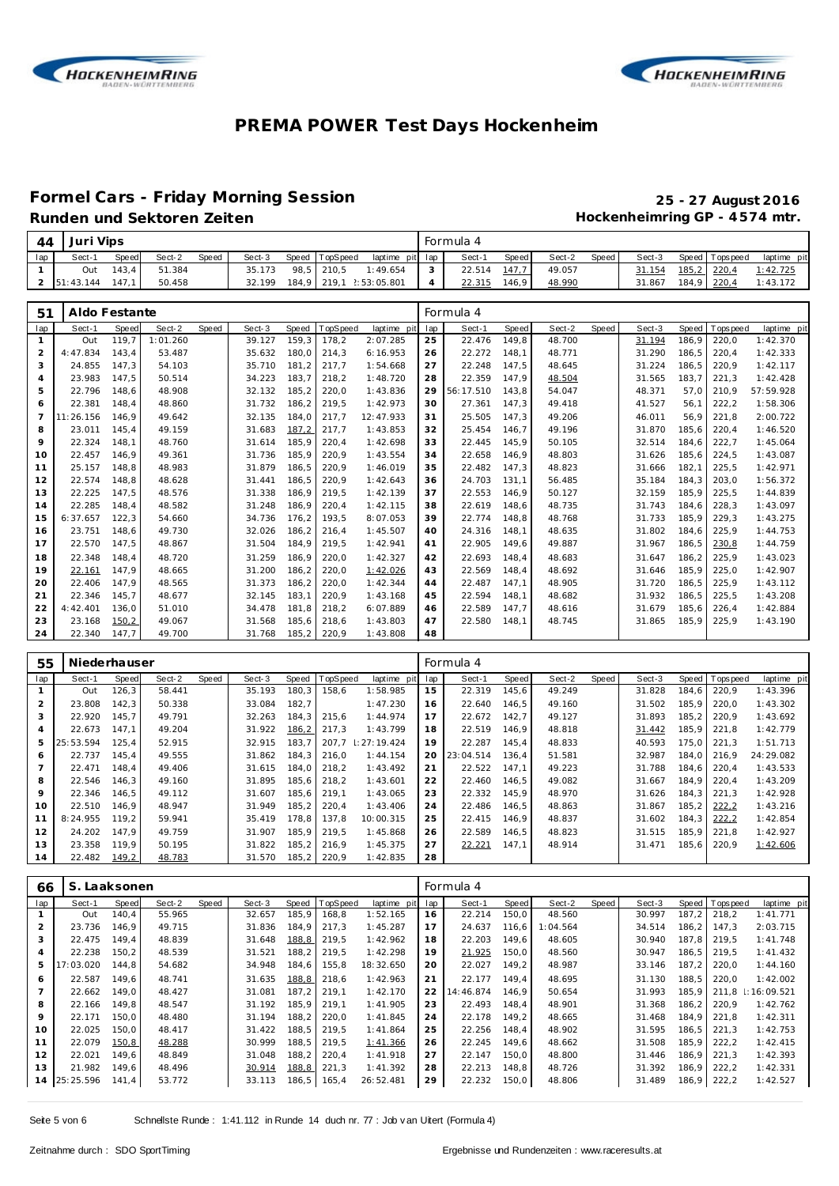



#### **Formel Cars - Friday Morning Session 25 - 27 August 2016** Runden und Sektoren Zeiten **Munden und Sektoren Zeiten Hockenheimring GP** - 4574 mtr.

| 44             | Juri Vips     |       |          |       |        |       |          |             |     | Formula 4 |       |        |       |        |       |             |             |
|----------------|---------------|-------|----------|-------|--------|-------|----------|-------------|-----|-----------|-------|--------|-------|--------|-------|-------------|-------------|
| lap            | Sect-1        | Speed | Sect-2   | Speed | Sect-3 | Speed | TopSpeed | laptime pit | lap | Sect-1    | Speed | Sect-2 | Speed | Sect-3 | Speed | T ops peed  | laptime pit |
| $\mathbf{1}$   | Out           | 143,4 | 51.384   |       | 35.173 | 98,5  | 210,5    | 1:49.654    | 3   | 22.514    | 147,7 | 49.057 |       | 31.154 | 185,2 | 220,4       | 1:42.725    |
| $\overline{2}$ | 51:43.144     | 147,1 | 50.458   |       | 32.199 | 184,9 |          |             | 4   | 22.315    | 146,9 | 48.990 |       | 31.867 | 184,9 | 220,4       | 1:43.172    |
|                |               |       |          |       |        |       |          |             |     |           |       |        |       |        |       |             |             |
| 51             | Aldo Festante |       |          |       |        |       |          |             |     | Formula 4 |       |        |       |        |       |             |             |
| lap            | Sect-1        | Speed | Sect-2   | Speed | Sect-3 | Speed | TopSpeed | laptime pit | lap | Sect-1    | Speed | Sect-2 | Speed | Sect-3 | Speed | T ops pee d | laptime pit |
| $\mathbf{1}$   | Out           | 119.7 | 1:01.260 |       | 39.127 | 159.3 | 178,2    | 2:07.285    | 25  | 22.476    | 149,8 | 48.700 |       | 31.194 | 186.9 | 220,0       | 1:42.370    |
| $\overline{2}$ | 4:47.834      | 143,4 | 53.487   |       | 35.632 | 180,0 | 214,3    | 6:16.953    | 26  | 22.272    | 148,1 | 48.771 |       | 31.290 | 186,5 | 220,4       | 1:42.333    |
| 3              | 24.855        | 147.3 | 54.103   |       | 35.710 | 181.2 | 217,7    | 1:54.668    | 27  | 22.248    | 147,5 | 48.645 |       | 31.224 | 186.5 | 220,9       | 1:42.117    |
| 4              | 23.983        | 147,5 | 50.514   |       | 34.223 | 183.7 | 218,2    | 1:48.720    | 28  | 22.359    | 147,9 | 48.504 |       | 31.565 | 183,7 | 221,3       | 1:42.428    |
| 5              | 22.796        | 148,6 | 48.908   |       | 32.132 | 185,2 | 220,0    | 1:43.836    | 29  | 56:17.510 | 143,8 | 54.047 |       | 48.371 | 57.0  | 210.9       | 57:59.928   |
| 6              | 22.381        | 148,4 | 48.860   |       | 31.732 | 186,2 | 219,5    | 1:42.973    | 30  | 27.361    | 147,3 | 49.418 |       | 41.527 | 56,1  | 222,2       | 1:58.306    |
| $\overline{7}$ | 11:26.156     | 146,9 | 49.642   |       | 32.135 | 184,0 | 217,7    | 12:47.933   | 31  | 25.505    | 147,3 | 49.206 |       | 46.011 | 56.9  | 221,8       | 2:00.722    |
| 8              | 23.011        | 145,4 | 49.159   |       | 31.683 | 187,2 | 217,7    | 1:43.853    | 32  | 25.454    | 146,7 | 49.196 |       | 31.870 | 185,6 | 220,4       | 1:46.520    |
| 9              | 22.324        | 148,1 | 48.760   |       | 31.614 | 185,9 | 220,4    | 1:42.698    | 33  | 22.445    | 145,9 | 50.105 |       | 32.514 | 184.6 | 222,7       | 1:45.064    |
| 10             | 22.457        | 146,9 | 49.361   |       | 31.736 | 185,9 | 220,9    | 1:43.554    | 34  | 22.658    | 146,9 | 48.803 |       | 31.626 | 185,6 | 224,5       | 1:43.087    |
| 11             | 25.157        | 148,8 | 48.983   |       | 31.879 | 186,5 | 220,9    | 1:46.019    | 35  | 22.482    | 147,3 | 48.823 |       | 31.666 | 182,1 | 225,5       | 1:42.971    |
| 12             | 22.574        | 148.8 | 48.628   |       | 31.441 | 186.5 | 220.9    | 1:42.643    | 36  | 24.703    | 131,1 | 56.485 |       | 35.184 | 184.3 | 203,0       | 1:56.372    |
| 13             | 22.225        | 147.5 | 48.576   |       | 31.338 | 186.9 | 219,5    | 1:42.139    | 37  | 22.553    | 146,9 | 50.127 |       | 32.159 | 185.9 | 225,5       | 1:44.839    |
| 14             | 22.285        | 148,4 | 48.582   |       | 31.248 | 186.9 | 220,4    | 1:42.115    | 38  | 22.619    | 148,6 | 48.735 |       | 31.743 | 184.6 | 228,3       | 1:43.097    |
| 15             | 6:37.657      | 122,3 | 54.660   |       | 34.736 | 176,2 | 193,5    | 8:07.053    | 39  | 22.774    | 148,8 | 48.768 |       | 31.733 | 185,9 | 229,3       | 1:43.275    |
| 16             | 23.751        | 148,6 | 49.730   |       | 32.026 | 186,2 | 216,4    | 1:45.507    | 40  | 24.316    | 148,1 | 48.635 |       | 31.802 | 184,6 | 225,9       | 1:44.753    |
| 17             | 22.570        | 147,5 | 48.867   |       | 31.504 | 184,9 | 219,5    | 1:42.941    | 41  | 22.905    | 149,6 | 49.887 |       | 31.967 | 186,5 | 230,8       | 1:44.759    |
| 18             | 22.348        | 148,4 | 48.720   |       | 31.259 | 186,9 | 220,0    | 1:42.327    | 42  | 22.693    | 148,4 | 48.683 |       | 31.647 | 186,2 | 225,9       | 1:43.023    |
| 19             | 22.161        | 147,9 | 48.665   |       | 31.200 | 186,2 | 220,0    | 1:42.026    | 43  | 22.569    | 148,4 | 48.692 |       | 31.646 | 185.9 | 225,0       | 1:42.907    |
| 20             | 22.406        | 147.9 | 48.565   |       | 31.373 | 186,2 | 220,0    | 1:42.344    | 44  | 22.487    | 147,1 | 48.905 |       | 31.720 | 186,5 | 225,9       | 1:43.112    |
| 21             | 22.346        | 145,7 | 48.677   |       | 32.145 | 183.1 | 220.9    | 1:43.168    | 45  | 22.594    | 148,1 | 48.682 |       | 31.932 | 186.5 | 225,5       | 1:43.208    |
| 22             | 4:42.401      | 136,0 | 51.010   |       | 34.478 | 181.8 | 218,2    | 6:07.889    | 46  | 22.589    | 147,7 | 48.616 |       | 31.679 | 185.6 | 226,4       | 1:42.884    |
| 23             | 23.168        | 150,2 | 49.067   |       | 31.568 | 185,6 | 218,6    | 1:43.803    | 47  | 22.580    | 148.1 | 48.745 |       | 31.865 | 185.9 | 225,9       | 1:43.190    |
| 24             | 22.340        | 147,7 | 49.700   |       | 31.768 | 185,2 | 220,9    | 1:43.808    | 48  |           |       |        |       |        |       |             |             |

| 55  | Niederhauser |       |        |       |        |        |                 |                 |     | Formula 4 |       |        |       |        |        |                 |             |
|-----|--------------|-------|--------|-------|--------|--------|-----------------|-----------------|-----|-----------|-------|--------|-------|--------|--------|-----------------|-------------|
| lap | Sect-1       | Speed | Sect-2 | Speed | Sect-3 | Speed  | <b>TopSpeed</b> | laptime pit     | lap | Sect-1    | Speed | Sect-2 | Speed | Sect-3 |        | Speed Tops peed | laptime pit |
|     | Out          | 126,3 | 58.441 |       | 35.193 | 180,3  | 158,6           | 1:58.985        | 15  | 22.319    | 145,6 | 49.249 |       | 31.828 | 184,6  | 220,9           | 1:43.396    |
|     | 23.808       | 142.3 | 50.338 |       | 33.084 | 182.7  |                 | 1:47.230        | 16  | 22.640    | 146.5 | 49.160 |       | 31.502 | 185.9  | 220.0           | 1:43.302    |
| 3   | 22.920       | 145.7 | 49.791 |       | 32.263 | 184, 3 | 215,6           | 1:44.974        | 17  | 22.672    | 142.7 | 49.127 |       | 31.893 | 185, 2 | 220.9           | 1:43.692    |
|     | 22.673       | 147.1 | 49.204 |       | 31.922 | 186,2  | 217.3           | 1:43.799        | 18  | 22.519    | 146.9 | 48.818 |       | 31.442 | 185,9  | 221.8           | 1:42.779    |
| 5   | 25:53.594    | 125.4 | 52.915 |       | 32.915 | 183.7  | 207.7           | $\pm 27:19.424$ | 19  | 22.287    | 145.4 | 48.833 |       | 40.593 | 175.0  | 221.3           | 1:51.713    |
| 6   | 22.737       | 145.4 | 49.555 |       | 31.862 | 184.3  | 216,0           | 1:44.154        | 20  | 23:04.514 | 136.4 | 51.581 |       | 32.987 | 184.0  | 216.9           | 24:29.082   |
|     | 22.471       | 148.4 | 49.406 |       | 31.615 | 184.0  | 218.2           | 1:43.492        | 21  | 22.522    | 147.1 | 49.223 |       | 31.788 | 184.6  | 220.4           | 1:43.533    |
| 8   | 22.546       | 146.3 | 49.160 |       | 31.895 | 185,6  | 218,2           | 1:43.601        | 22  | 22.460    | 146,5 | 49.082 |       | 31.667 | 184.9  | 220,4           | 1:43.209    |
| 9   | 22.346       | 146.5 | 49.112 |       | 31.607 | 185.6  | 219.1           | 1:43.065        | 23  | 22.332    | 145.9 | 48.970 |       | 31.626 | 184.3  | 221.3           | 1:42.928    |
| 10  | 22.510       | 146.9 | 48.947 |       | 31.949 | 185.2  | 220.4           | 1:43.406        | 24  | 22.486    | 146.5 | 48.863 |       | 31.867 | 185.2  | 222,2           | 1:43.216    |
| 11  | 8:24.955     | 119.2 | 59.941 |       | 35.419 | 178.8  | 137,8           | 10:00.315       | 25  | 22.415    | 146.9 | 48.837 |       | 31.602 | 184.3  | 222,2           | 1:42.854    |
| 12  | 24.202       | 147.9 | 49.759 |       | 31.907 | 185.9  | 219.5           | 1:45.868        | 26  | 22.589    | 146.5 | 48.823 |       | 31.515 | 185.9  | 221.8           | 1:42.927    |
| 13  | 23.358       | 119.9 | 50.195 |       | 31.822 | 185, 2 | 216.9           | 1:45.375        | 27  | 22.221    | 147.1 | 48.914 |       | 31.471 | 185,6  | 220,9           | 1:42.606    |
| 14  | 22.482       | 149,2 | 48.783 |       | 31.570 | 185, 2 | 220,9           | 1:42.835        | 28  |           |       |        |       |        |        |                 |             |

| 66             | S. Laaksonen |       |        |       |        |       |                |             |     | Formula 4 |       |          |       |        |       |                |                   |
|----------------|--------------|-------|--------|-------|--------|-------|----------------|-------------|-----|-----------|-------|----------|-------|--------|-------|----------------|-------------------|
| lap            | Sect-1       | Speed | Sect-2 | Speed | Sect-3 |       | Speed TopSpeed | laptime pit | lap | Sect-1    | Speed | Sect-2   | Speed | Sect-3 |       | Speed Topspeed | laptime pit       |
|                | Out          | 140.4 | 55.965 |       | 32.657 | 185,9 | 168,8          | 1:52.165    | 16  | 22.214    | 150,0 | 48.560   |       | 30.997 | 187.2 | 218.2          | 1:41.771          |
| $\overline{2}$ | 23.736       | 146.9 | 49.715 |       | 31.836 | 184.9 | 217.3          | 1:45.287    | 17  | 24.637    | 116.6 | 1:04.564 |       | 34.514 | 186.2 | 147.3          | 2:03.715          |
| 3              | 22.475       | 149.4 | 48.839 |       | 31.648 | 188,8 | 219.5          | 1:42.962    | 18  | 22.203    | 149.6 | 48.605   |       | 30.940 | 187.8 | 219.5          | 1:41.748          |
| 4              | 22.238       | 150,2 | 48.539 |       | 31.521 | 188,2 | 219,5          | 1:42.298    | 19  | 21.925    | 150,0 | 48.560   |       | 30.947 | 186,5 | 219.5          | 1: 41.432         |
| 5              | 17:03.020    | 144.8 | 54.682 |       | 34.948 | 184,6 | 155,8          | 18:32.650   | 20  | 22.027    | 149.2 | 48.987   |       | 33.146 | 187.2 | 220.0          | 1:44.160          |
| 6              | 22.587       | 149.6 | 48.741 |       | 31.635 | 188,8 | 218.6          | 1:42.963    | 21  | 22.177    | 149.4 | 48.695   |       | 31.130 | 188.5 | 220.0          | 1:42.002          |
|                | 22.662       | 149.0 | 48.427 |       | 31.081 | 187.2 | 219.1          | 1:42.170    | 22  | 14:46.874 | 146.9 | 50.654   |       | 31.993 | 185.9 |                | 211.8 : 16:09.521 |
| 8              | 22.166       | 149.8 | 48.547 |       | 31.192 | 185.9 | 219.1          | 1:41.905    | 23  | 22.493    | 148.4 | 48.901   |       | 31.368 | 186,2 | 220.9          | 1:42.762          |
| 9              | 22.171       | 150.0 | 48.480 |       | 31.194 | 188.2 | 220,0          | 1:41.845    | 24  | 22.178    | 149.2 | 48.665   |       | 31.468 | 184.9 | 221.8          | 1:42.311          |
| 10             | 22.025       | 150.0 | 48.417 |       | 31.422 | 188,5 | 219,5          | 1:41.864    | 25  | 22.256    | 148.4 | 48.902   |       | 31.595 | 186.5 | 221.3          | 1:42.753          |
| 11             | 22.079       | 150,8 | 48.288 |       | 30.999 | 188,5 | 219.5          | 1:41.366    | 26  | 22.245    | 149.6 | 48.662   |       | 31.508 | 185.9 | 222,2          | 1:42.415          |
| 12             | 22.021       | 149.6 | 48.849 |       | 31.048 | 188,2 | 220,4          | 1:41.918    | 27  | 22.147    | 150.0 | 48.800   |       | 31.446 | 186,9 | 221.3          | 1:42.393          |
| 13             | 21.982       | 149.6 | 48.496 |       | 30.914 | 188,8 | 221,3          | 1:41.392    | 28  | 22.213    | 148.8 | 48.726   |       | 31.392 | 186.9 | 222,2          | 1:42.331          |
| 14             | 25:25.596    | 141,4 | 53.772 |       | 33.113 | 186,5 | 165,4          | 26:52.481   | 29  | 22.232    | 150,0 | 48.806   |       | 31.489 | 186,9 | 222,2          | 1:42.527          |